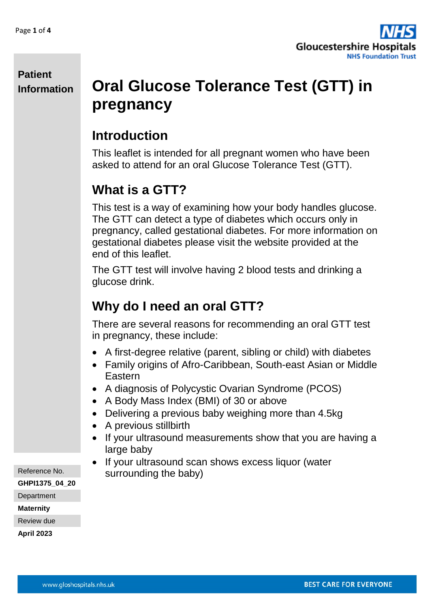

# **Oral Glucose Tolerance Test (GTT) in pregnancy**

## **Introduction**

This leaflet is intended for all pregnant women who have been asked to attend for an oral Glucose Tolerance Test (GTT).

# **What is a GTT?**

This test is a way of examining how your body handles glucose. The GTT can detect a type of diabetes which occurs only in pregnancy, called gestational diabetes. For more information on gestational diabetes please visit the website provided at the end of this leaflet.

The GTT test will involve having 2 blood tests and drinking a glucose drink.

# **Why do I need an oral GTT?**

There are several reasons for recommending an oral GTT test in pregnancy, these include:

- A first-degree relative (parent, sibling or child) with diabetes
- Family origins of Afro-Caribbean, South-east Asian or Middle Eastern
- A diagnosis of Polycystic Ovarian Syndrome (PCOS)
- A Body Mass Index (BMI) of 30 or above
- Delivering a previous baby weighing more than 4.5kg
- A previous stillbirth
- If your ultrasound measurements show that you are having a large baby
- If your ultrasound scan shows excess liquor (water surrounding the baby)

Reference No.

**GHPI1375\_04\_20**

**Department** 

**Maternity**

Review due

**April 2023**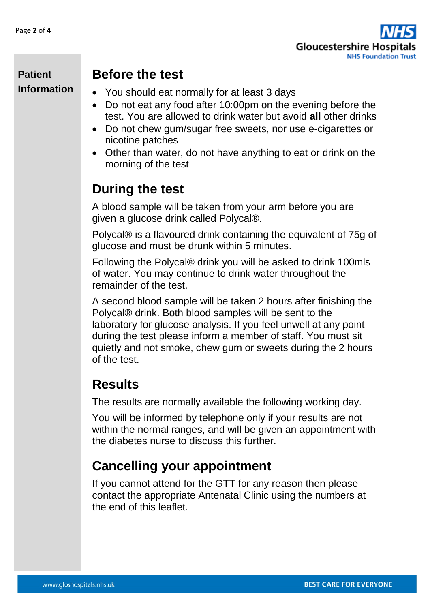

### **Before the test**

- You should eat normally for at least 3 days
- Do not eat any food after 10:00pm on the evening before the test. You are allowed to drink water but avoid **all** other drinks
- Do not chew gum/sugar free sweets, nor use e-cigarettes or nicotine patches
- Other than water, do not have anything to eat or drink on the morning of the test

## **During the test**

A blood sample will be taken from your arm before you are given a glucose drink called Polycal®.

Polycal® is a flavoured drink containing the equivalent of 75g of glucose and must be drunk within 5 minutes.

Following the Polycal® drink you will be asked to drink 100mls of water. You may continue to drink water throughout the remainder of the test.

A second blood sample will be taken 2 hours after finishing the Polycal® drink. Both blood samples will be sent to the laboratory for glucose analysis. If you feel unwell at any point during the test please inform a member of staff. You must sit quietly and not smoke, chew gum or sweets during the 2 hours of the test.

## **Results**

The results are normally available the following working day.

You will be informed by telephone only if your results are not within the normal ranges, and will be given an appointment with the diabetes nurse to discuss this further.

## **Cancelling your appointment**

If you cannot attend for the GTT for any reason then please contact the appropriate Antenatal Clinic using the numbers at the end of this leaflet.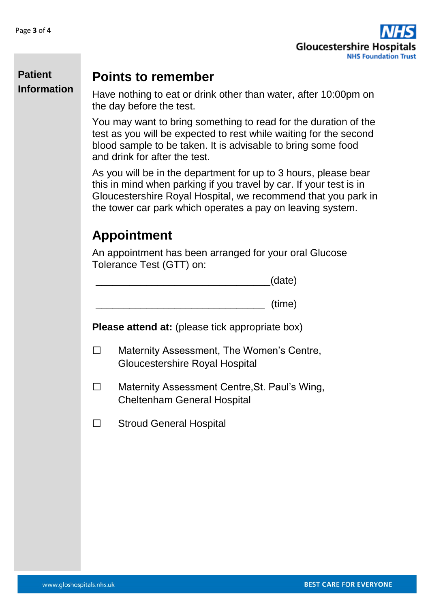

## **Points to remember**

Have nothing to eat or drink other than water, after 10:00pm on the day before the test.

You may want to bring something to read for the duration of the test as you will be expected to rest while waiting for the second blood sample to be taken. It is advisable to bring some food and drink for after the test.

As you will be in the department for up to 3 hours, please bear this in mind when parking if you travel by car. If your test is in Gloucestershire Royal Hospital, we recommend that you park in the tower car park which operates a pay on leaving system.

# **Appointment**

An appointment has been arranged for your oral Glucose Tolerance Test (GTT) on:

|  |  | (date)<br>$\sqrt{2}$ |
|--|--|----------------------|
|  |  |                      |

\_\_\_\_\_\_\_\_\_\_\_\_\_\_\_\_\_\_\_\_\_\_\_\_\_\_\_\_\_\_ (time)

**Please attend at:** (please tick appropriate box)

- □ Maternity Assessment, The Women's Centre, Gloucestershire Royal Hospital
- □ Maternity Assessment Centre,St. Paul's Wing, Cheltenham General Hospital
- □ Stroud General Hospital